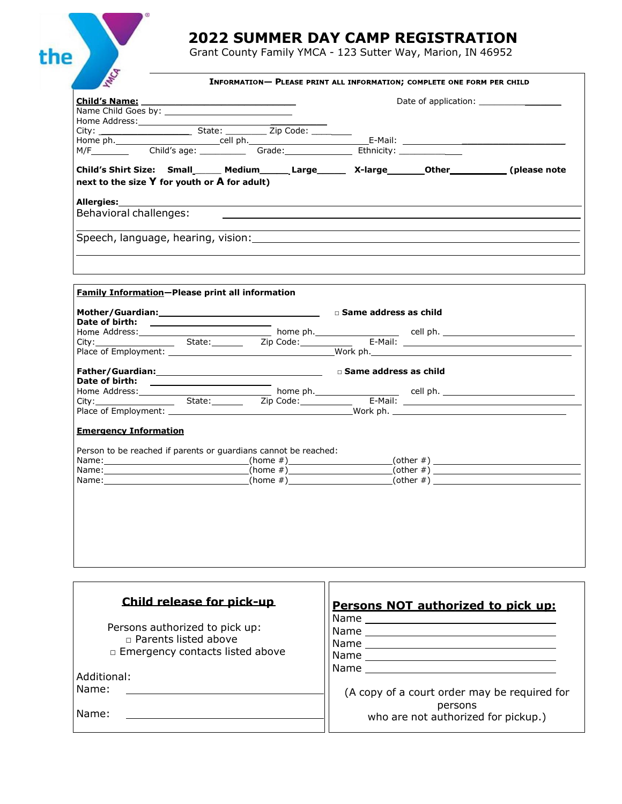## **2022 SUMMER DAY CAMP REGISTRATION**

Grant County Family YMCA - 123 Sutter Way, Marion, IN 46952

 $\bullet$ 

the

| Child's Name:                                                                                                                                               | <u> 1989 - Johann John Stein, mars an deus Amerikaansk kommunister (</u> |                                                                                  |  |
|-------------------------------------------------------------------------------------------------------------------------------------------------------------|--------------------------------------------------------------------------|----------------------------------------------------------------------------------|--|
|                                                                                                                                                             |                                                                          |                                                                                  |  |
|                                                                                                                                                             |                                                                          |                                                                                  |  |
|                                                                                                                                                             |                                                                          |                                                                                  |  |
|                                                                                                                                                             |                                                                          |                                                                                  |  |
|                                                                                                                                                             |                                                                          |                                                                                  |  |
| Child's Shirt Size: Small______ Medium_______ Large________ X-large________Other___________(please note<br>next to the size $Y$ for youth or $A$ for adult) |                                                                          |                                                                                  |  |
|                                                                                                                                                             |                                                                          |                                                                                  |  |
| Behavioral challenges:                                                                                                                                      |                                                                          |                                                                                  |  |
|                                                                                                                                                             |                                                                          | ,我们也不会有什么。""我们的人,我们也不会有什么?""我们的人,我们也不会有什么?""我们的人,我们的人,我们也不会有什么?""我们的人,我们的人,我们的人, |  |
|                                                                                                                                                             |                                                                          |                                                                                  |  |
| Family Information-Please print all information                                                                                                             |                                                                          |                                                                                  |  |
|                                                                                                                                                             |                                                                          |                                                                                  |  |
|                                                                                                                                                             |                                                                          |                                                                                  |  |
|                                                                                                                                                             |                                                                          |                                                                                  |  |
|                                                                                                                                                             |                                                                          |                                                                                  |  |
|                                                                                                                                                             |                                                                          |                                                                                  |  |
|                                                                                                                                                             |                                                                          |                                                                                  |  |
|                                                                                                                                                             |                                                                          |                                                                                  |  |
|                                                                                                                                                             |                                                                          |                                                                                  |  |
|                                                                                                                                                             |                                                                          |                                                                                  |  |
|                                                                                                                                                             |                                                                          |                                                                                  |  |
|                                                                                                                                                             |                                                                          |                                                                                  |  |
| <b>Emergency Information</b>                                                                                                                                |                                                                          |                                                                                  |  |
| Person to be reached if parents or quardians cannot be reached:                                                                                             |                                                                          |                                                                                  |  |
| Name:_________________________________(home #)_______________________(other #) _____________________                                                        |                                                                          |                                                                                  |  |
|                                                                                                                                                             |                                                                          |                                                                                  |  |
| Name: $(home \#)$ (home $\#)$ (other $\#)$ )                                                                                                                |                                                                          |                                                                                  |  |
|                                                                                                                                                             |                                                                          |                                                                                  |  |
|                                                                                                                                                             |                                                                          |                                                                                  |  |
|                                                                                                                                                             |                                                                          |                                                                                  |  |
|                                                                                                                                                             |                                                                          |                                                                                  |  |
|                                                                                                                                                             |                                                                          |                                                                                  |  |
|                                                                                                                                                             |                                                                          |                                                                                  |  |
|                                                                                                                                                             |                                                                          |                                                                                  |  |
|                                                                                                                                                             |                                                                          |                                                                                  |  |
|                                                                                                                                                             |                                                                          |                                                                                  |  |
|                                                                                                                                                             |                                                                          |                                                                                  |  |
|                                                                                                                                                             |                                                                          |                                                                                  |  |
| Child release for pick-up                                                                                                                                   |                                                                          | Persons NOT authorized to pick up:                                               |  |

| Persons authorized to pick up:<br>$\Box$ Parents listed above<br>□ Emergency contacts listed above<br>Additional:<br>Name:<br>Name: | Name<br>Name<br>Name<br>Name<br>Name<br>(A copy of a court order may be required for<br>persons<br>who are not authorized for pickup.) |
|-------------------------------------------------------------------------------------------------------------------------------------|----------------------------------------------------------------------------------------------------------------------------------------|
|-------------------------------------------------------------------------------------------------------------------------------------|----------------------------------------------------------------------------------------------------------------------------------------|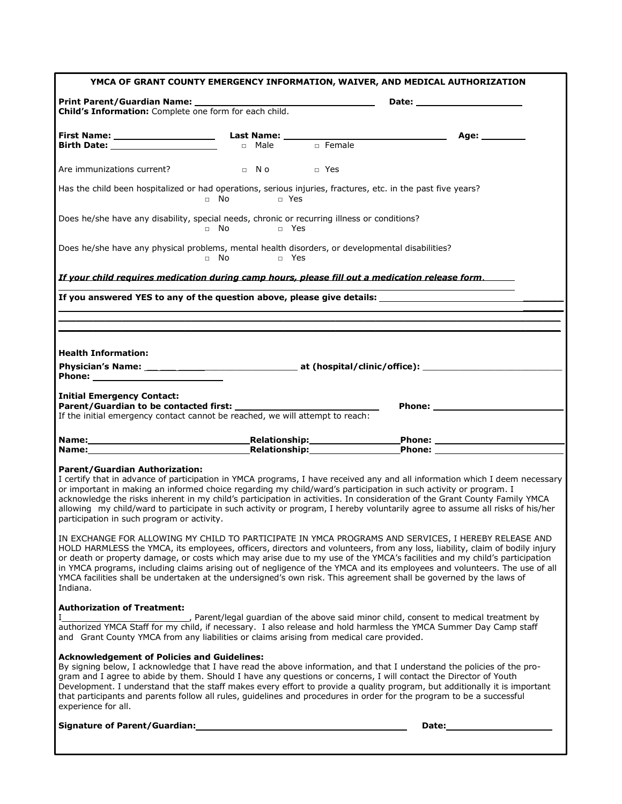| YMCA OF GRANT COUNTY EMERGENCY INFORMATION, WAIVER, AND MEDICAL AUTHORIZATION                                                                                                                                                                                                                                                                                                                                                                                                                                                                                                                                                   |                      |       |                                                                                                                                                                                                                                     |
|---------------------------------------------------------------------------------------------------------------------------------------------------------------------------------------------------------------------------------------------------------------------------------------------------------------------------------------------------------------------------------------------------------------------------------------------------------------------------------------------------------------------------------------------------------------------------------------------------------------------------------|----------------------|-------|-------------------------------------------------------------------------------------------------------------------------------------------------------------------------------------------------------------------------------------|
|                                                                                                                                                                                                                                                                                                                                                                                                                                                                                                                                                                                                                                 |                      |       |                                                                                                                                                                                                                                     |
| Child's Information: Complete one form for each child.                                                                                                                                                                                                                                                                                                                                                                                                                                                                                                                                                                          |                      |       |                                                                                                                                                                                                                                     |
|                                                                                                                                                                                                                                                                                                                                                                                                                                                                                                                                                                                                                                 |                      |       | Age: ___________                                                                                                                                                                                                                    |
|                                                                                                                                                                                                                                                                                                                                                                                                                                                                                                                                                                                                                                 |                      |       |                                                                                                                                                                                                                                     |
| Are immunizations current?                                                                                                                                                                                                                                                                                                                                                                                                                                                                                                                                                                                                      | D N O D Yes          |       |                                                                                                                                                                                                                                     |
| Has the child been hospitalized or had operations, serious injuries, fractures, etc. in the past five years?                                                                                                                                                                                                                                                                                                                                                                                                                                                                                                                    | □ No □ Yes           |       |                                                                                                                                                                                                                                     |
| Does he/she have any disability, special needs, chronic or recurring illness or conditions?                                                                                                                                                                                                                                                                                                                                                                                                                                                                                                                                     | □ No □ Yes           |       |                                                                                                                                                                                                                                     |
| Does he/she have any physical problems, mental health disorders, or developmental disabilities?                                                                                                                                                                                                                                                                                                                                                                                                                                                                                                                                 | $\Box$ No $\Box$ Yes |       |                                                                                                                                                                                                                                     |
| If your child requires medication during camp hours, please fill out a medication release form.                                                                                                                                                                                                                                                                                                                                                                                                                                                                                                                                 |                      |       |                                                                                                                                                                                                                                     |
| If you answered YES to any of the question above, please give details: _____________________________                                                                                                                                                                                                                                                                                                                                                                                                                                                                                                                            |                      |       |                                                                                                                                                                                                                                     |
|                                                                                                                                                                                                                                                                                                                                                                                                                                                                                                                                                                                                                                 |                      |       |                                                                                                                                                                                                                                     |
|                                                                                                                                                                                                                                                                                                                                                                                                                                                                                                                                                                                                                                 |                      |       |                                                                                                                                                                                                                                     |
| <b>Health Information:</b>                                                                                                                                                                                                                                                                                                                                                                                                                                                                                                                                                                                                      |                      |       |                                                                                                                                                                                                                                     |
|                                                                                                                                                                                                                                                                                                                                                                                                                                                                                                                                                                                                                                 |                      |       |                                                                                                                                                                                                                                     |
| <b>Initial Emergency Contact:</b><br>If the initial emergency contact cannot be reached, we will attempt to reach:                                                                                                                                                                                                                                                                                                                                                                                                                                                                                                              |                      |       | <b>Phone:</b> the contract of the contract of the contract of the contract of the contract of the contract of the contract of the contract of the contract of the contract of the contract of the contract of the contract of the c |
|                                                                                                                                                                                                                                                                                                                                                                                                                                                                                                                                                                                                                                 |                      |       |                                                                                                                                                                                                                                     |
| Name: Name: Name: Name: Name: Name: Name: Name: Name: Name: Name: Name: Name: Name: Name: Name: Name: Name: Na<br>Name: Thomas Relationship: Thomas Phone: Thomas Phone: Thomas Phone: Thomas Phone: Thomas Phone: Thomas Phone:                                                                                                                                                                                                                                                                                                                                                                                                |                      |       |                                                                                                                                                                                                                                     |
|                                                                                                                                                                                                                                                                                                                                                                                                                                                                                                                                                                                                                                 |                      |       |                                                                                                                                                                                                                                     |
| <b>Parent/Guardian Authorization:</b><br>I certify that in advance of participation in YMCA programs, I have received any and all information which I deem necessary<br>or important in making an informed choice regarding my child/ward's participation in such activity or program. I<br>acknowledge the risks inherent in my child's participation in activities. In consideration of the Grant County Family YMCA<br>allowing my child/ward to participate in such activity or program, I hereby voluntarily agree to assume all risks of his/her<br>participation in such program or activity.                            |                      |       |                                                                                                                                                                                                                                     |
| IN EXCHANGE FOR ALLOWING MY CHILD TO PARTICIPATE IN YMCA PROGRAMS AND SERVICES, I HEREBY RELEASE AND<br>HOLD HARMLESS the YMCA, its employees, officers, directors and volunteers, from any loss, liability, claim of bodily injury<br>or death or property damage, or costs which may arise due to my use of the YMCA's facilities and my child's participation<br>in YMCA programs, including claims arising out of negligence of the YMCA and its employees and volunteers. The use of all<br>YMCA facilities shall be undertaken at the undersigned's own risk. This agreement shall be governed by the laws of<br>Indiana. |                      |       |                                                                                                                                                                                                                                     |
| <b>Authorization of Treatment:</b><br>authorized YMCA Staff for my child, if necessary. I also release and hold harmless the YMCA Summer Day Camp staff<br>and Grant County YMCA from any liabilities or claims arising from medical care provided.                                                                                                                                                                                                                                                                                                                                                                             |                      |       |                                                                                                                                                                                                                                     |
| <b>Acknowledgement of Policies and Guidelines:</b><br>By signing below, I acknowledge that I have read the above information, and that I understand the policies of the pro-<br>gram and I agree to abide by them. Should I have any questions or concerns, I will contact the Director of Youth<br>Development. I understand that the staff makes every effort to provide a quality program, but additionally it is important<br>that participants and parents follow all rules, guidelines and procedures in order for the program to be a successful<br>experience for all.                                                  |                      |       |                                                                                                                                                                                                                                     |
|                                                                                                                                                                                                                                                                                                                                                                                                                                                                                                                                                                                                                                 |                      | Date: |                                                                                                                                                                                                                                     |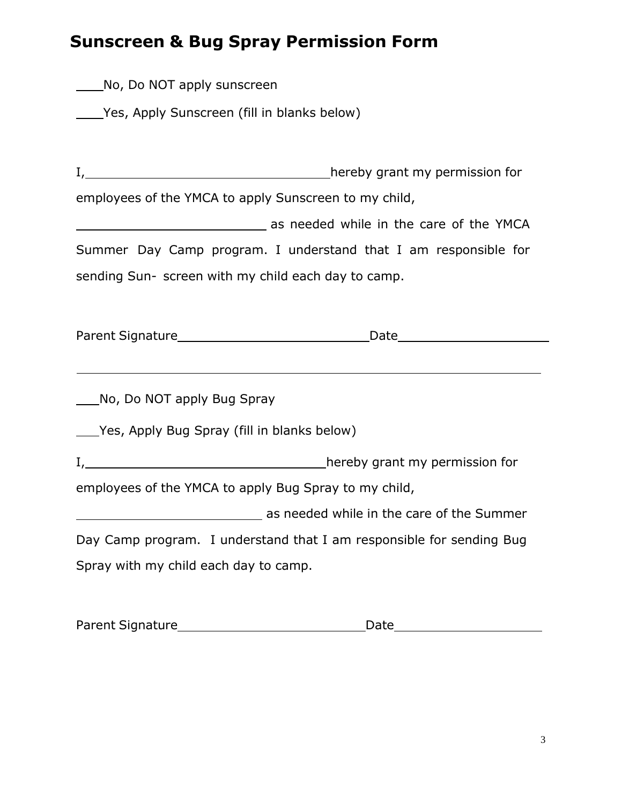# **Sunscreen & Bug Spray Permission Form**

| Parent Signature |  |
|------------------|--|
|                  |  |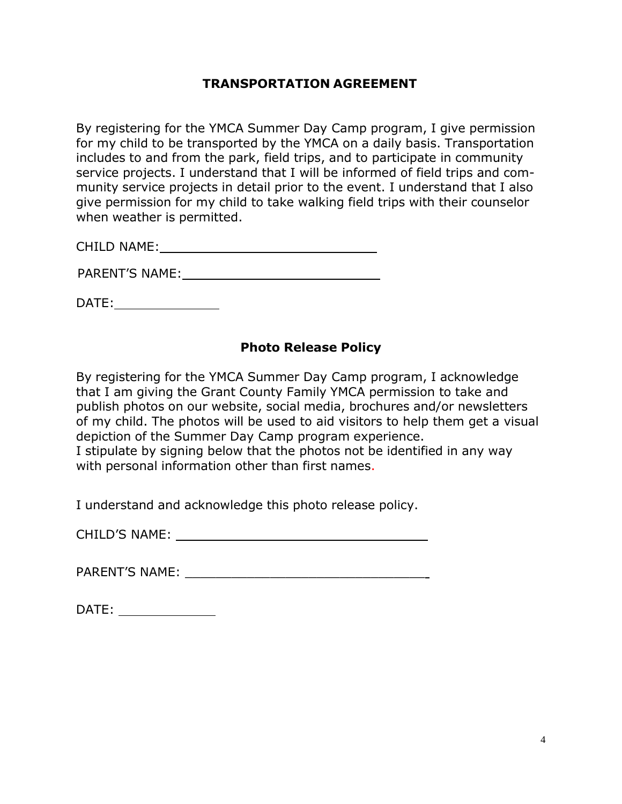#### **TRANSPORTATION AGREEMENT**

By registering for the YMCA Summer Day Camp program, I give permission for my child to be transported by the YMCA on a daily basis. Transportation includes to and from the park, field trips, and to participate in community service projects. I understand that I will be informed of field trips and community service projects in detail prior to the event. I understand that I also give permission for my child to take walking field trips with their counselor when weather is permitted.

CHILD NAME: \_\_\_\_\_\_\_\_\_\_

PARENT'S NAME:  $\blacksquare$ 

DATE:

#### **Photo Release Policy**

By registering for the YMCA Summer Day Camp program, I acknowledge that I am giving the Grant County Family YMCA permission to take and publish photos on our website, social media, brochures and/or newsletters of my child. The photos will be used to aid visitors to help them get a visual depiction of the Summer Day Camp program experience. I stipulate by signing below that the photos not be identified in any way with personal information other than first names.

I understand and acknowledge this photo release policy.

CHILD'S NAME: **Example 2018** 

PARENT'S NAME: **Example 20** 

| <b>DATE</b><br>. . |  |
|--------------------|--|
|                    |  |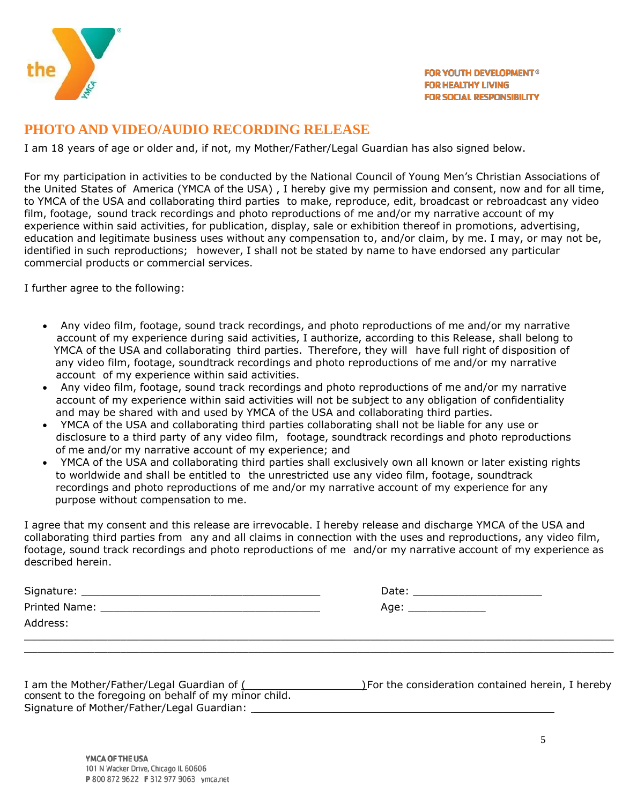

#### **PHOTO AND VIDEO/AUDIO RECORDING RELEASE**

I am 18 years of age or older and, if not, my Mother/Father/Legal Guardian has also signed below.

For my participation in activities to be conducted by the National Council of Young Men's Christian Associations of the United States of America (YMCA of the USA) , I hereby give my permission and consent, now and for all time, to YMCA of the USA and collaborating third parties to make, reproduce, edit, broadcast or rebroadcast any video film, footage, sound track recordings and photo reproductions of me and/or my narrative account of my experience within said activities, for publication, display, sale or exhibition thereof in promotions, advertising, education and legitimate business uses without any compensation to, and/or claim, by me. I may, or may not be, identified in such reproductions; however, I shall not be stated by name to have endorsed any particular commercial products or commercial services.

I further agree to the following:

- Any video film, footage, sound track recordings, and photo reproductions of me and/or my narrative account of my experience during said activities, I authorize, according to this Release, shall belong to YMCA of the USA and collaborating third parties. Therefore, they will have full right of disposition of any video film, footage, soundtrack recordings and photo reproductions of me and/or my narrative account of my experience within said activities.
- Any video film, footage, sound track recordings and photo reproductions of me and/or my narrative account of my experience within said activities will not be subject to any obligation of confidentiality and may be shared with and used by YMCA of the USA and collaborating third parties.
- YMCA of the USA and collaborating third parties collaborating shall not be liable for any use or disclosure to a third party of any video film, footage, soundtrack recordings and photo reproductions of me and/or my narrative account of my experience; and
- YMCA of the USA and collaborating third parties shall exclusively own all known or later existing rights to worldwide and shall be entitled to the unrestricted use any video film, footage, soundtrack recordings and photo reproductions of me and/or my narrative account of my experience for any purpose without compensation to me.

I agree that my consent and this release are irrevocable. I hereby release and discharge YMCA of the USA and collaborating third parties from any and all claims in connection with the uses and reproductions, any video film, footage, sound track recordings and photo reproductions of me and/or my narrative account of my experience as described herein.

| Signature: _  | Date: |
|---------------|-------|
| Printed Name: | Age:  |
| Address:      |       |
|               |       |

| I am the Mother/Father/Legal Guardian of (            | ) For the consideration contained herein, I hereby |
|-------------------------------------------------------|----------------------------------------------------|
| consent to the foregoing on behalf of my minor child. |                                                    |
| Signature of Mother/Father/Legal Guardian:            |                                                    |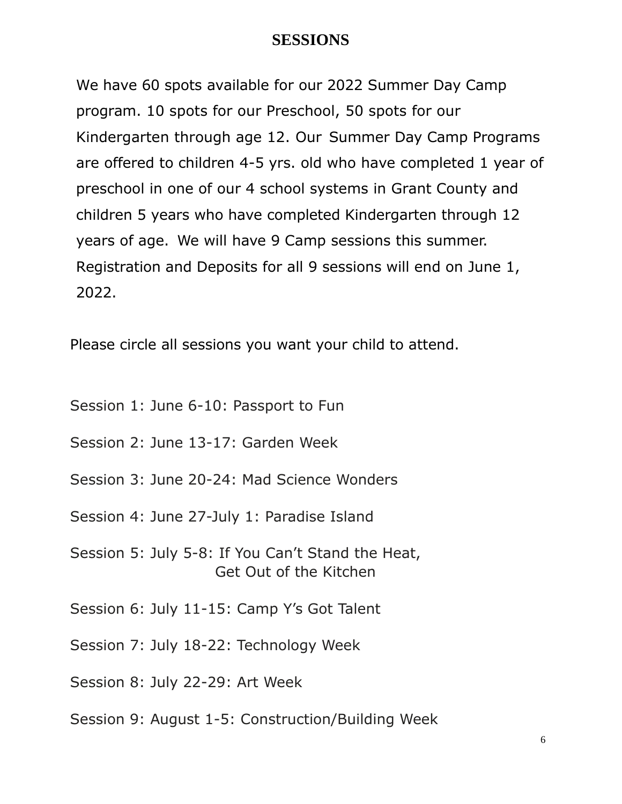### **SESSIONS**

We have 60 spots available for our 2022 Summer Day Camp program. 10 spots for our Preschool, 50 spots for our Kindergarten through age 12. Our Summer Day Camp Programs are offered to children 4-5 yrs. old who have completed 1 year of preschool in one of our 4 school systems in Grant County and children 5 years who have completed Kindergarten through 12 years of age. We will have 9 Camp sessions this summer. Registration and Deposits for all 9 sessions will end on June 1, 2022.

Please circle all sessions you want your child to attend.

- Session 1: June 6-10: Passport to Fun
- Session 2: June 13-17: Garden Week
- Session 3: June 20-24: Mad Science Wonders
- Session 4: June 27-July 1: Paradise Island
- Session 5: July 5-8: If You Can't Stand the Heat, Get Out of the Kitchen
- Session 6: July 11-15: Camp Y's Got Talent
- Session 7: July 18-22: Technology Week
- Session 8: July 22-29: Art Week
- Session 9: August 1-5: Construction/Building Week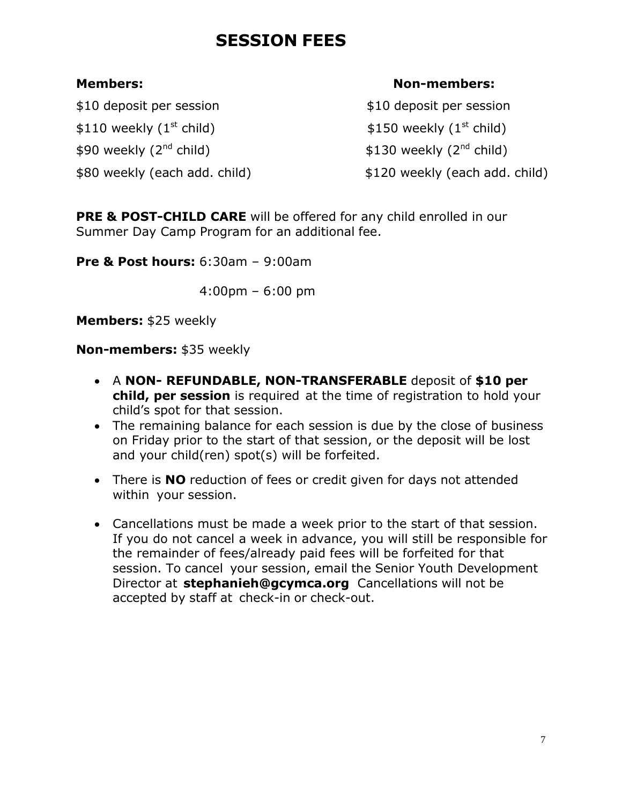# **SESSION FEES**

\$10 deposit per session \$10 deposit per session  $$110$  weekly (1<sup>st</sup> child)  $$150$  weekly (1<sup>st</sup> child)  $$90$  weekly ( $2^{nd}$  child)  $$130$  weekly ( $2^{nd}$  child)

\$80 weekly (each add. child) \$120 weekly (each add. child)

#### **Members: Non-members:**

**PRE & POST-CHILD CARE** will be offered for any child enrolled in our Summer Day Camp Program for an additional fee.

**Pre & Post hours:** 6:30am – 9:00am

4:00pm – 6:00 pm

**Members:** \$25 weekly

**Non-members:** \$35 weekly

- A **NON- REFUNDABLE, NON-TRANSFERABLE** deposit of **\$10 per child, per session** is required at the time of registration to hold your child's spot for that session.
- The remaining balance for each session is due by the close of business on Friday prior to the start of that session, or the deposit will be lost and your child(ren) spot(s) will be forfeited.
- There is **NO** reduction of fees or credit given for days not attended within your session.
- Cancellations must be made a week prior to the start of that session. If you do not cancel a week in advance, you will still be responsible for the remainder of fees/already paid fees will be forfeited for that session. To cancel your session, email the Senior Youth Development Director at **[stephanieh@gcymca.org](mailto:stephanieh@gcymca.org)** Cancellations will not be accepted by staff at check-in or check-out.